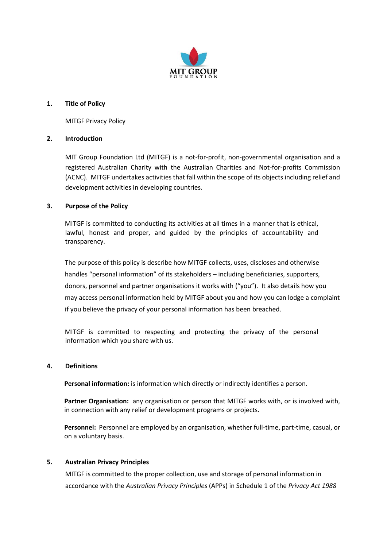

## **1. Title of Policy**

MITGF Privacy Policy

## **2. Introduction**

MIT Group Foundation Ltd (MITGF) is a not-for-profit, non-governmental organisation and a registered Australian Charity with the Australian Charities and Not-for-profits Commission (ACNC). MITGF undertakes activities that fall within the scope of its objects including relief and development activities in developing countries.

## **3. Purpose of the Policy**

MITGF is committed to conducting its activities at all times in a manner that is ethical, lawful, honest and proper, and guided by the principles of accountability and transparency.

The purpose of this policy is describe how MITGF collects, uses, discloses and otherwise handles "personal information" of its stakeholders – including beneficiaries, supporters, donors, personnel and partner organisations it works with ("you"). It also details how you may access personal information held by MITGF about you and how you can lodge a complaint if you believe the privacy of your personal information has been breached.

MITGF is committed to respecting and protecting the privacy of the personal information which you share with us.

### **4. Definitions**

**Personal information:** is information which directly or indirectly identifies a person.

**Partner Organisation:** any organisation or person that MITGF works with, or is involved with, in connection with any relief or development programs or projects.

**Personnel:** Personnel are employed by an organisation, whether full-time, part-time, casual, or on a voluntary basis.

# **5. Australian Privacy Principles**

MITGF is committed to the proper collection, use and storage of personal information in accordance with the *Australian Privacy Principles* (APPs) in Schedule 1 of the *Privacy Act 1988*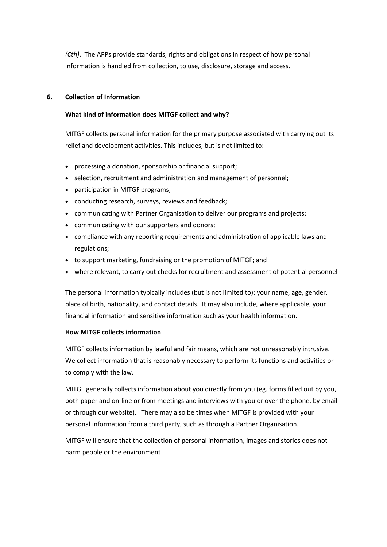*(Cth)*. The APPs provide standards, rights and obligations in respect of how personal information is handled from collection, to use, disclosure, storage and access.

# **6. Collection of Information**

## **What kind of information does MITGF collect and why?**

MITGF collects personal information for the primary purpose associated with carrying out its relief and development activities. This includes, but is not limited to:

- processing a donation, sponsorship or financial support;
- selection, recruitment and administration and management of personnel;
- participation in MITGF programs;
- conducting research, surveys, reviews and feedback;
- communicating with Partner Organisation to deliver our programs and projects;
- communicating with our supporters and donors;
- compliance with any reporting requirements and administration of applicable laws and regulations;
- to support marketing, fundraising or the promotion of MITGF; and
- where relevant, to carry out checks for recruitment and assessment of potential personnel

The personal information typically includes (but is not limited to): your name, age, gender, place of birth, nationality, and contact details. It may also include, where applicable, your financial information and sensitive information such as your health information.

# **How MITGF collects information**

MITGF collects information by lawful and fair means, which are not unreasonably intrusive. We collect information that is reasonably necessary to perform its functions and activities or to comply with the law.

MITGF generally collects information about you directly from you (eg. forms filled out by you, both paper and on-line or from meetings and interviews with you or over the phone, by email or through our website). There may also be times when MITGF is provided with your personal information from a third party, such as through a Partner Organisation.

MITGF will ensure that the collection of personal information, images and stories does not harm people or the environment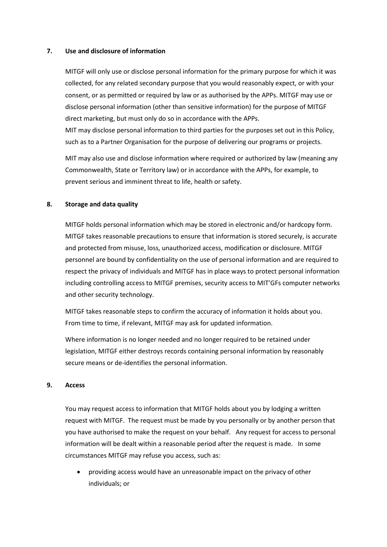#### **7. Use and disclosure of information**

MITGF will only use or disclose personal information for the primary purpose for which it was collected, for any related secondary purpose that you would reasonably expect, or with your consent, or as permitted or required by law or as authorised by the APPs. MITGF may use or disclose personal information (other than sensitive information) for the purpose of MITGF direct marketing, but must only do so in accordance with the APPs.

MIT may disclose personal information to third parties for the purposes set out in this Policy, such as to a Partner Organisation for the purpose of delivering our programs or projects.

MIT may also use and disclose information where required or authorized by law (meaning any Commonwealth, State or Territory law) or in accordance with the APPs, for example, to prevent serious and imminent threat to life, health or safety.

### **8. Storage and data quality**

MITGF holds personal information which may be stored in electronic and/or hardcopy form. MITGF takes reasonable precautions to ensure that information is stored securely, is accurate and protected from misuse, loss, unauthorized access, modification or disclosure. MITGF personnel are bound by confidentiality on the use of personal information and are required to respect the privacy of individuals and MITGF has in place ways to protect personal information including controlling access to MITGF premises, security access to MIT'GFs computer networks and other security technology.

MITGF takes reasonable steps to confirm the accuracy of information it holds about you. From time to time, if relevant, MITGF may ask for updated information.

Where information is no longer needed and no longer required to be retained under legislation, MITGF either destroys records containing personal information by reasonably secure means or de-identifies the personal information.

#### **9. Access**

You may request access to information that MITGF holds about you by lodging a written request with MITGF. The request must be made by you personally or by another person that you have authorised to make the request on your behalf. Any request for access to personal information will be dealt within a reasonable period after the request is made. In some circumstances MITGF may refuse you access, such as:

• providing access would have an unreasonable impact on the privacy of other individuals; or